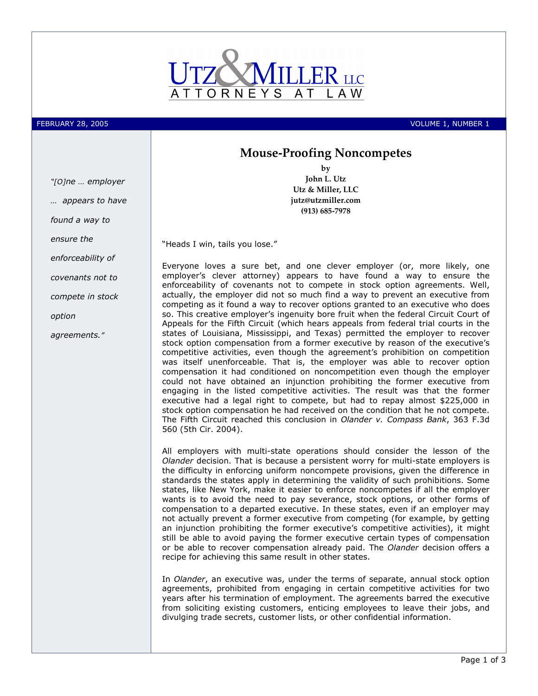

FEBRUARY 28, 2005 VOLUME 1, NUMBER 1

## Mouse-Proofing Noncompetes by

John L. Utz

"[O]ne … employer

… appears to have

found a way to

ensure the

enforceability of

covenants not to

compete in stock

option

agreements."

Utz & Miller, LLC jutz@utzmiller.com (913) 685-7978

"Heads I win, tails you lose."

Everyone loves a sure bet, and one clever employer (or, more likely, one employer's clever attorney) appears to have found a way to ensure the enforceability of covenants not to compete in stock option agreements. Well, actually, the employer did not so much find a way to prevent an executive from competing as it found a way to recover options granted to an executive who does so. This creative employer's ingenuity bore fruit when the federal Circuit Court of Appeals for the Fifth Circuit (which hears appeals from federal trial courts in the states of Louisiana, Mississippi, and Texas) permitted the employer to recover stock option compensation from a former executive by reason of the executive's competitive activities, even though the agreement's prohibition on competition was itself unenforceable. That is, the employer was able to recover option compensation it had conditioned on noncompetition even though the employer could not have obtained an injunction prohibiting the former executive from engaging in the listed competitive activities. The result was that the former executive had a legal right to compete, but had to repay almost \$225,000 in stock option compensation he had received on the condition that he not compete. The Fifth Circuit reached this conclusion in Olander v. Compass Bank, 363 F.3d 560 (5th Cir. 2004).

All employers with multi-state operations should consider the lesson of the Olander decision. That is because a persistent worry for multi-state employers is the difficulty in enforcing uniform noncompete provisions, given the difference in standards the states apply in determining the validity of such prohibitions. Some states, like New York, make it easier to enforce noncompetes if all the employer wants is to avoid the need to pay severance, stock options, or other forms of compensation to a departed executive. In these states, even if an employer may not actually prevent a former executive from competing (for example, by getting an injunction prohibiting the former executive's competitive activities), it might still be able to avoid paying the former executive certain types of compensation or be able to recover compensation already paid. The *Olander* decision offers a recipe for achieving this same result in other states.

In Olander, an executive was, under the terms of separate, annual stock option agreements, prohibited from engaging in certain competitive activities for two years after his termination of employment. The agreements barred the executive from soliciting existing customers, enticing employees to leave their jobs, and divulging trade secrets, customer lists, or other confidential information.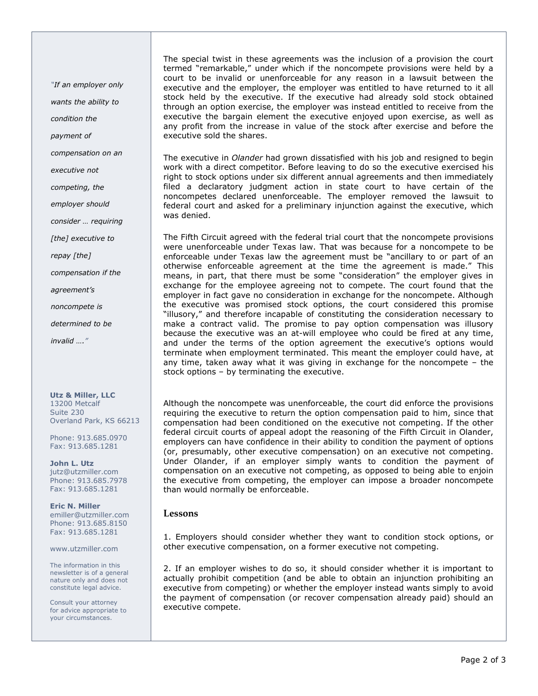"If an employer only wants the ability to condition the payment of compensation on an

executive not

competing, the

employer should

consider … requiring

[the] executive to

repay [the]

compensation if the

agreement's

noncompete is

determined to be

invalid …."

Utz & Miller, LLC 13200 Metcalf Suite 230 Overland Park, KS 66213

Phone: 913.685.0970 Fax: 913.685.1281

John L. Utz jutz@utzmiller.com Phone: 913.685.7978 Fax: 913.685.1281

Eric N. Miller emiller@utzmiller.com Phone: 913.685.8150 Fax: 913.685.1281

www.utzmiller.com

The information in this newsletter is of a general nature only and does not constitute legal advice.

Consult your attorney for advice appropriate to your circumstances.

The special twist in these agreements was the inclusion of a provision the court termed "remarkable," under which if the noncompete provisions were held by a court to be invalid or unenforceable for any reason in a lawsuit between the executive and the employer, the employer was entitled to have returned to it all stock held by the executive. If the executive had already sold stock obtained through an option exercise, the employer was instead entitled to receive from the executive the bargain element the executive enjoyed upon exercise, as well as any profit from the increase in value of the stock after exercise and before the executive sold the shares.

The executive in *Olander* had grown dissatisfied with his job and resigned to begin work with a direct competitor. Before leaving to do so the executive exercised his right to stock options under six different annual agreements and then immediately filed a declaratory judgment action in state court to have certain of the noncompetes declared unenforceable. The employer removed the lawsuit to federal court and asked for a preliminary injunction against the executive, which was denied.

The Fifth Circuit agreed with the federal trial court that the noncompete provisions were unenforceable under Texas law. That was because for a noncompete to be enforceable under Texas law the agreement must be "ancillary to or part of an otherwise enforceable agreement at the time the agreement is made." This means, in part, that there must be some "consideration" the employer gives in exchange for the employee agreeing not to compete. The court found that the employer in fact gave no consideration in exchange for the noncompete. Although the executive was promised stock options, the court considered this promise "illusory," and therefore incapable of constituting the consideration necessary to make a contract valid. The promise to pay option compensation was illusory because the executive was an at-will employee who could be fired at any time, and under the terms of the option agreement the executive's options would terminate when employment terminated. This meant the employer could have, at any time, taken away what it was giving in exchange for the noncompete – the stock options – by terminating the executive.

Although the noncompete was unenforceable, the court did enforce the provisions requiring the executive to return the option compensation paid to him, since that compensation had been conditioned on the executive not competing. If the other federal circuit courts of appeal adopt the reasoning of the Fifth Circuit in Olander, employers can have confidence in their ability to condition the payment of options (or, presumably, other executive compensation) on an executive not competing. Under Olander, if an employer simply wants to condition the payment of compensation on an executive not competing, as opposed to being able to enjoin the executive from competing, the employer can impose a broader noncompete than would normally be enforceable.

## Lessons

1. Employers should consider whether they want to condition stock options, or other executive compensation, on a former executive not competing.

2. If an employer wishes to do so, it should consider whether it is important to actually prohibit competition (and be able to obtain an injunction prohibiting an executive from competing) or whether the employer instead wants simply to avoid the payment of compensation (or recover compensation already paid) should an executive compete.